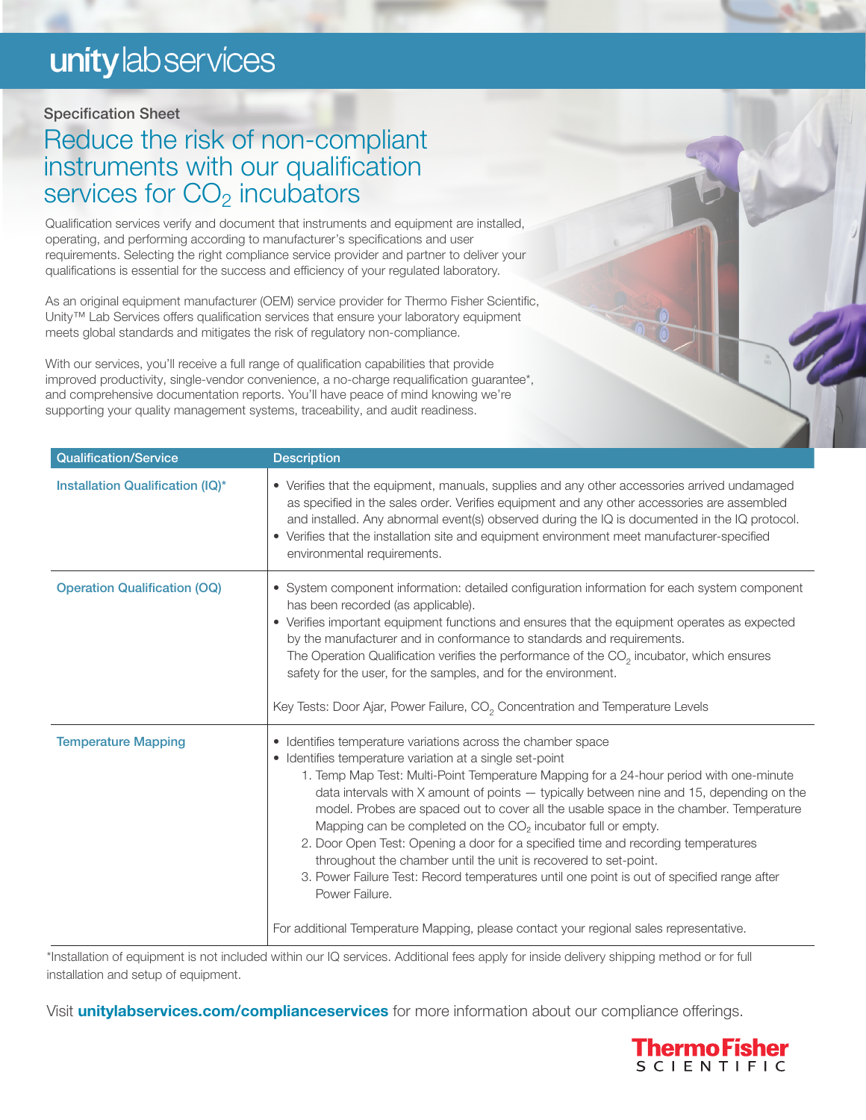# unity lab services

### Specification Sheet

### Reduce the risk of non-compliant instruments with our qualification services for CO<sub>2</sub> incubators

Qualification services verify and document that instruments and equipment are installed, operating, and performing according to manufacturer's specifications and user requirements. Selecting the right compliance service provider and partner to deliver your qualifications is essential for the success and efficiency of your regulated laboratory.

As an original equipment manufacturer (OEM) service provider for Thermo Fisher Scientific, Unity™ Lab Services offers qualification services that ensure your laboratory equipment meets global standards and mitigates the risk of regulatory non-compliance.

With our services, you'll receive a full range of qualification capabilities that provide improved productivity, single-vendor convenience, a no-charge requalification guarantee\*, and comprehensive documentation reports. You'll have peace of mind knowing we're supporting your quality management systems, traceability, and audit readiness.

| <b>Qualification/Service</b>        | <b>Description</b>                                                                                                                                                                                                                                                                                                                                                                                                                                                                                                                                                                                                                                                                                                                                                                                                                                      |
|-------------------------------------|---------------------------------------------------------------------------------------------------------------------------------------------------------------------------------------------------------------------------------------------------------------------------------------------------------------------------------------------------------------------------------------------------------------------------------------------------------------------------------------------------------------------------------------------------------------------------------------------------------------------------------------------------------------------------------------------------------------------------------------------------------------------------------------------------------------------------------------------------------|
| Installation Qualification (IQ)*    | • Verifies that the equipment, manuals, supplies and any other accessories arrived undamaged<br>as specified in the sales order. Verifies equipment and any other accessories are assembled<br>and installed. Any abnormal event(s) observed during the IQ is documented in the IQ protocol.<br>• Verifies that the installation site and equipment environment meet manufacturer-specified<br>environmental requirements.                                                                                                                                                                                                                                                                                                                                                                                                                              |
| <b>Operation Qualification (OQ)</b> | • System component information: detailed configuration information for each system component<br>has been recorded (as applicable).<br>• Verifies important equipment functions and ensures that the equipment operates as expected<br>by the manufacturer and in conformance to standards and requirements.<br>The Operation Qualification verifies the performance of the $CO2$ incubator, which ensures<br>safety for the user, for the samples, and for the environment.<br>Key Tests: Door Ajar, Power Failure, CO <sub>2</sub> Concentration and Temperature Levels                                                                                                                                                                                                                                                                                |
| <b>Temperature Mapping</b>          | • Identifies temperature variations across the chamber space<br>• Identifies temperature variation at a single set-point<br>1. Temp Map Test: Multi-Point Temperature Mapping for a 24-hour period with one-minute<br>data intervals with X amount of points - typically between nine and 15, depending on the<br>model. Probes are spaced out to cover all the usable space in the chamber. Temperature<br>Mapping can be completed on the CO <sub>2</sub> incubator full or empty.<br>2. Door Open Test: Opening a door for a specified time and recording temperatures<br>throughout the chamber until the unit is recovered to set-point.<br>3. Power Failure Test: Record temperatures until one point is out of specified range after<br>Power Failure.<br>For additional Temperature Mapping, please contact your regional sales representative. |

\*Installation of equipment is not included within our IQ services. Additional fees apply for inside delivery shipping method or for full installation and setup of equipment.

Visit **[unitylabservices.com/complianceservices](http://unitylabservices.com/complianceservices)** for more information about our compliance offerings.